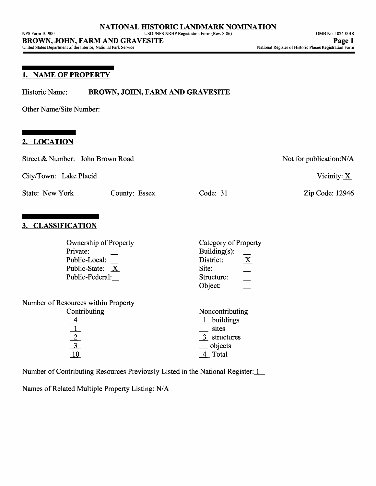# **1. NAME OF PROPERTY**

Historic Name: **BROWN, JOHN, FARM AND GRAVESITE**

Other Name/Site Number:

#### **2. LOCATION**

| Street & Number: John Brown Road                                                                  |                                                                                              | Not for publication: N/A  |  |  |
|---------------------------------------------------------------------------------------------------|----------------------------------------------------------------------------------------------|---------------------------|--|--|
| City/Town: Lake Placid                                                                            |                                                                                              | Vicinity: $\underline{X}$ |  |  |
| State: New York<br>County: Essex                                                                  | Code: $31$                                                                                   | Zip Code: 12946           |  |  |
| 3. CLASSIFICATION<br><b>Ownership of Property</b><br>Private:<br>Public-Local:<br>Public-State: X | Category of Property<br>Building $(s)$ :<br>$\underline{X}$<br>District:<br>Site:            |                           |  |  |
| Public-Federal:                                                                                   | Structure:<br>Object:                                                                        |                           |  |  |
| Number of Resources within Property<br>Contributing<br>$\frac{\frac{4}{1}}{\frac{2}{10}}$         | Noncontributing<br>$1$ buildings<br>sites<br>$\overline{3}$ structures<br>objects<br>4 Total |                           |  |  |
| Number of Contributing Resources Previously Listed in the National Register: 1                    |                                                                                              |                           |  |  |

Names of Related Multiple Property Listing: N/A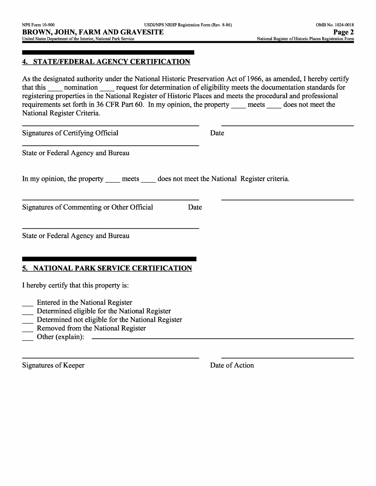## **4. STATE/FEDERAL AGENCY CERTIFICATION**

As the designated authority under the National Historic Preservation Act of 1966, as amended, I hereby certify that this momination request for determination of eligibility meets the documentation standards for registering properties in the National Register of Historic Places and meets the procedural and professional requirements set forth in 36 CFR Part 60. In my opinion, the property meets does not meet the National Register Criteria.

Signatures of Certifying Official Date

State or Federal Agency and Bureau

In my opinion, the property meets does not meet the National Register criteria.

Signatures of Commenting or Other Official Date

State or Federal Agency and Bureau

## **5. NATIONAL PARK SERVICE CERTIFICATION**

I hereby certify that this property is:

- Entered in the National Register
- Determined eligible for the National Register
- Determined not eligible for the National Register
- Removed from the National Register
- Other (explain): \_\_\_\_\_\_\_\_\_\_\_\_\_\_\_\_\_

Signatures of Keeper Date of Action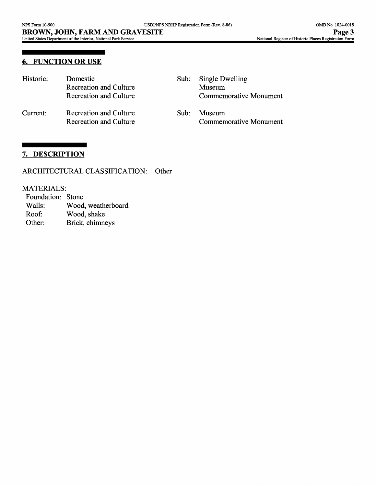## **6. FUNCTION OR USE**

| Historic: | Domestic<br><b>Recreation and Culture</b><br><b>Recreation and Culture</b> | Sub: | Single Dwelling<br>Museum<br>Commemorative Monument |
|-----------|----------------------------------------------------------------------------|------|-----------------------------------------------------|
| Current:  | Recreation and Culture<br>Recreation and Culture                           | Sub: | Museum<br>Commemorative Monument                    |

### **7. DESCRIPTION**

#### ARCHITECTURAL CLASSIFICATION: Other

# MATERIALS:

| Foundation: Stone |                    |
|-------------------|--------------------|
| Walls:            | Wood, weatherboard |
| Roof:             | Wood, shake        |
| Other:            | Brick, chimneys    |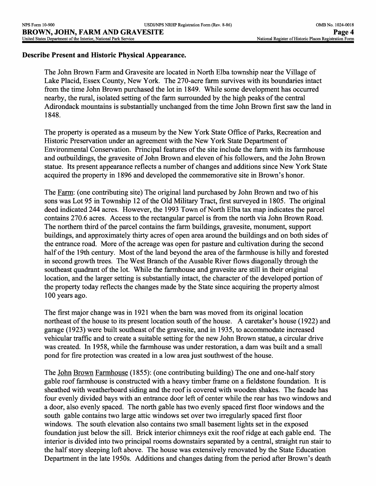### **Describe Present and Historic Physical Appearance.**

The John Brown Farm and Gravesite are located in North Elba township near the Village of Lake Placid, Essex County, New York. The 270-acre farm survives with its boundaries intact from the time John Brown purchased the lot in 1849. While some development has occurred nearby, the rural, isolated setting of the farm surrounded by the high peaks of the central Adirondack mountains is substantially unchanged from the time John Brown first saw the land in 1848.

The property is operated as a museum by the New York State Office of Parks, Recreation and Historic Preservation under an agreement with the New York State Department of Environmental Conservation. Principal features of the site include the farm with its farmhouse and outbuildings, the gravesite of John Brown and eleven of his followers, and the John Brown statue. Its present appearance reflects a number of changes and additions since New York State acquired the property in 1896 and developed the commemorative site in Brown's honor.

The Farm: (one contributing site) The original land purchased by John Brown and two of his sons was Lot 95 in Township 12 of the Old Military Tract, first surveyed in 1805. The original deed indicated 244 acres. However, the 1993 Town of North Elba tax map indicates the parcel contains 270.6 acres. Access to the rectangular parcel is from the north via John Brown Road. The northern third of the parcel contains the farm buildings, gravesite, monument, support buildings, and approximately thirty acres of open area around the buildings and on both sides of the entrance road. More of the acreage was open for pasture and cultivation during the second half of the 19th century. Most of the land beyond the area of the farmhouse is hilly and forested in second growth trees. The West Branch of the Ausable River flows diagonally through the southeast quadrant of the lot. While the farmhouse and gravesite are still in their original location, and the larger setting is substantially intact, the character of the developed portion of the property today reflects the changes made by the State since acquiring the property almost 100 years ago.

The first major change was in 1921 when the barn was moved from its original location northeast of the house to its present location south of the house. A caretaker's house (1922) and garage (1923) were built southeast of the gravesite, and in 1935, to accommodate increased vehicular traffic and to create a suitable setting for the new John Brown statue, a circular drive was created. In 1958, while the farmhouse was under restoration, a dam was built and a small pond for fire protection was created in a low area just southwest of the house.

The John Brown Farmhouse (1855): (one contributing building) The one and one-half story gable roof farmhouse is constructed with a heavy timber frame on a fieldstone foundation. It is sheathed with weatherboard siding and the roof is covered with wooden shakes. The facade has four evenly divided bays with an entrance door left of center while the rear has two windows and a door, also evenly spaced. The north gable has two evenly spaced first floor windows and the south gable contains two large attic windows set over two irregularly spaced first floor windows. The south elevation also contains two small basement lights set in the exposed foundation just below the sill. Brick interior chimneys exit the roof ridge at each gable end. The interior is divided into two principal rooms downstairs separated by a central, straight run stair to the half story sleeping loft above. The house was extensively renovated by the State Education Department in the late 1950s. Additions and changes dating from the period after Brown's death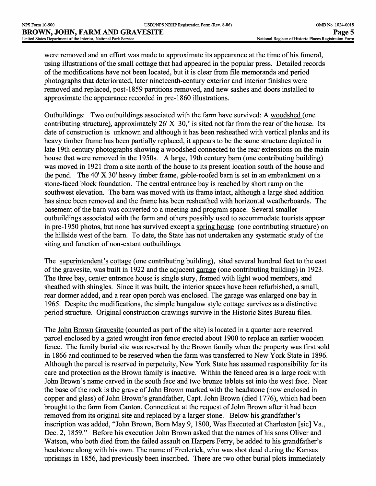were removed and an effort was made to approximate its appearance at the time of his funeral, using illustrations of the small cottage that had appeared in the popular press. Detailed records of the modifications have not been located, but it is clear from file memoranda and period photographs that deteriorated, later nineteenth-century exterior and interior finishes were removed and replaced, post-1859 partitions removed, and new sashes and doors installed to approximate the appearance recorded in pre-1860 illustrations.

Outbuildings: Two outbuildings associated with the farm have survived: A woodshed *(one*  contributing structure), approximately 26' X 30,' is sited not far from the rear of the house. Its date of construction is unknown and although it has been resheathed with vertical planks and its heavy timber frame has been partially replaced, it appears to be the same structure depicted in late 19th century photographs showing a woodshed connected to the rear extensions on the main house that were removed in the 1950s. A large, 19th century barn (one contributing building) was moved in 1921 from a site north of the house to its present location south of the house and the pond. The 40' X 30' heavy timber frame, gable-roofed barn is set in an embankment on a stone-faced block foundation. The central entrance bay is reached by short ramp on the southwest elevation. The barn was moved with its frame intact, although a large shed addition has since been removed and the frame has been resheathed with horizontal weatherboards. The basement of the barn was converted to a meeting and program space. Several smaller outbuildings associated with the farm and others possibly used to accommodate tourists appear in pre-1950 photos, but none has survived except a spring house (one contributing structure) on the hillside west of the barn. To date, the State has not undertaken any systematic study of the siting and function of non-extant outbuildings.

The superintendent's cottage (one contributing building), sited several hundred feet to the east of the gravesite, was built in 1922 and the adjacent garage (one contributing building) in 1923. The three bay, center entrance house is single story, framed with light wood members, and sheathed with shingles. Since it was built, the interior spaces have been refurbished, a small, rear dormer added, and a rear open porch was enclosed. The garage was enlarged one bay in 1965. Despite the modifications, the simple bungalow style cottage survives as a distinctive period structure. Original construction drawings survive in the Historic Sites Bureau files.

The John Brown Gravesite (counted as part of the site) is located in a quarter acre reserved parcel enclosed by a gated wrought iron fence erected about 1900 to replace an earlier wooden fence. The family burial site was reserved by the Brown family when the property was first sold in 1866 and continued to be reserved when the farm was transferred to New York State in 1896. Although the parcel is reserved in perpetuity, New York State has assumed responsibility for its care and protection as the Brown family is inactive. Within the fenced area is a large rock with John Brown's name carved in the south face and two bronze tablets set into the west face. Near the base of the rock is the grave of John Brown marked with the headstone (now enclosed in copper and glass) of John Brown's grandfather, Capt. John Brown (died 1776), which had been brought to the farm from Canton, Connecticut at the request of John Brown after it had been removed from its original site and replaced by a larger stone. Below his grandfather's inscription was added, "John Brown, Born May 9, 1800, Was Executed at Charleston [sic] Va., Dec. 2, 1859." Before his execution John Brown asked that the names of his sons Oliver and Watson, who both died from the failed assault on Harpers Ferry, be added to his grandfather's headstone along with his own. The name of Frederick, who was shot dead during the Kansas uprisings in 1856, had previously been inscribed. There are two other burial plots immediately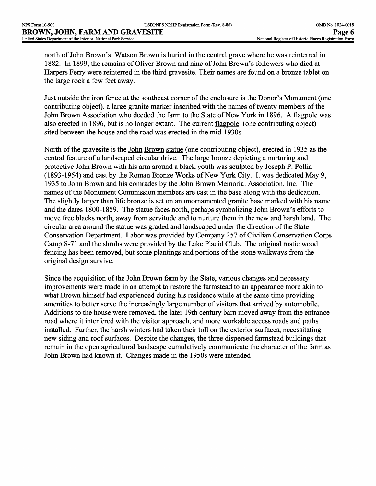north of John Brown's. Watson Brown is buried in the central grave where he was reinterred in 1882. In 1899, the remains of Oliver Brown and nine of John Brown's followers who died at Harpers Ferry were reinterred in the third gravesite. Their names are found on a bronze tablet on the large rock a few feet away.

Just outside the iron fence at the southeast corner of the enclosure is the Donor's Monument (one contributing object), a large granite marker inscribed with the names of twenty members of the John Brown Association who deeded the farm to the State of New York in 1896. A flagpole was also erected in 1896, but is no longer extant. The current flagpole (one contributing object) sited between the house and the road was erected in the mid-1930s.

North of the gravesite is the John Brown statue (one contributing object), erected in 1935 as the central feature of a landscaped circular drive. The large bronze depicting a nurturing and protective John Brown with his arm around a black youth was sculpted by Joseph P. Pollia (1893-1954) and cast by the Roman Bronze Works of New York City. It was dedicated May 9, 1935 to John Brown and his comrades by the John Brown Memorial Association, Inc. The names of the Monument Commission members are cast in the base along with the dedication. The slightly larger than life bronze is set on an unornamented granite base marked with his name and the dates 1800-1859. The statue faces north, perhaps symbolizing John Brown's efforts to move free blacks north, away from servitude and to nurture them in the new and harsh land. The circular area around the statue was graded and landscaped under the direction of the State Conservation Department. Labor was provided by Company 257 of Civilian Conservation Corps Camp S-71 and the shrubs were provided by the Lake Placid Club. The original rustic wood fencing has been removed, but some plantings and portions of the stone walkways from the original design survive.

Since the acquisition of the John Brown farm by the State, various changes and necessary improvements were made in an attempt to restore the farmstead to an appearance more akin to what Brown himself had experienced during his residence while at the same time providing amenities to better serve the increasingly large number of visitors that arrived by automobile. Additions to the house were removed, the later 19th century barn moved away from the entrance road where it interfered with the visitor approach, and more workable access roads and paths installed. Further, the harsh winters had taken their toll on the exterior surfaces, necessitating new siding and roof surfaces. Despite the changes, the three dispersed farmstead buildings that remain in the open agricultural landscape cumulatively communicate the character of the farm as John Brown had known it. Changes made in the 1950s were intended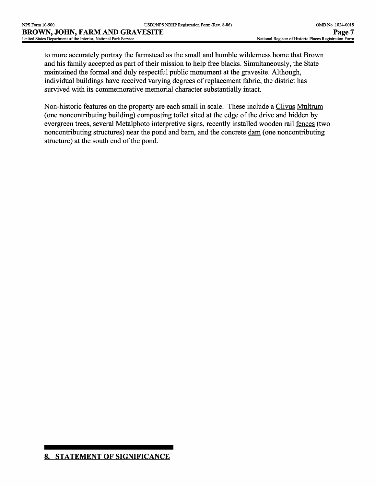to more accurately portray the farmstead as the small and humble wilderness home that Brown and his family accepted as part of their mission to help free blacks. Simultaneously, the State maintained the formal and duly respectful public monument at the gravesite. Although, individual buildings have received varying degrees of replacement fabric, the district has survived with its commemorative memorial character substantially intact.

Non-historic features on the property are each small in scale. These include a Clivus Multrum (one noncontributing building) composting toilet sited at the edge of the drive and hidden by evergreen trees, several Metalphoto interpretive signs, recently installed wooden rail fences (two noncontributing structures) near the pond and barn, and the concrete dam (one noncontributing structure) at the south end of the pond.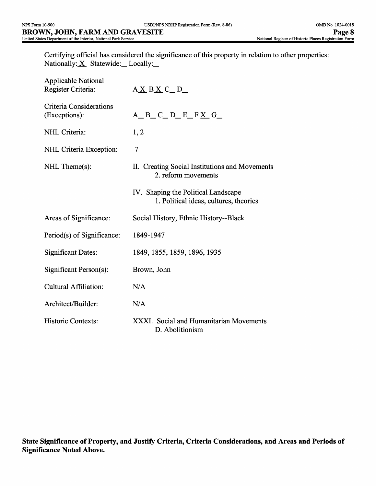Certifying official has considered the significance of this property in relation to other properties: Nationally:  $X$  Statewide: Locally:

| <b>Applicable National</b><br>Register Criteria: | $A \underline{X} B \underline{X} C \underline{D}$                             |
|--------------------------------------------------|-------------------------------------------------------------------------------|
| <b>Criteria Considerations</b><br>(Exceptions):  | $A$ <sub>_</sub> B_C_D_E_F <u>X</u> _G_                                       |
| NHL Criteria:                                    | 1, 2                                                                          |
| NHL Criteria Exception:                          | 7                                                                             |
| NHL Theme(s):                                    | II. Creating Social Institutions and Movements<br>2. reform movements         |
|                                                  | IV. Shaping the Political Landscape<br>1. Political ideas, cultures, theories |
| Areas of Significance:                           | Social History, Ethnic History--Black                                         |
| Period(s) of Significance:                       | 1849-1947                                                                     |
| <b>Significant Dates:</b>                        | 1849, 1855, 1859, 1896, 1935                                                  |
| Significant Person(s):                           | Brown, John                                                                   |
| Cultural Affiliation:                            | N/A                                                                           |
| Architect/Builder:                               | N/A                                                                           |
| <b>Historic Contexts:</b>                        | XXXI. Social and Humanitarian Movements<br>D. Abolitionism                    |

**State Significance of Property, and Justify Criteria, Criteria Considerations, and Areas and Periods of Significance Noted Above.**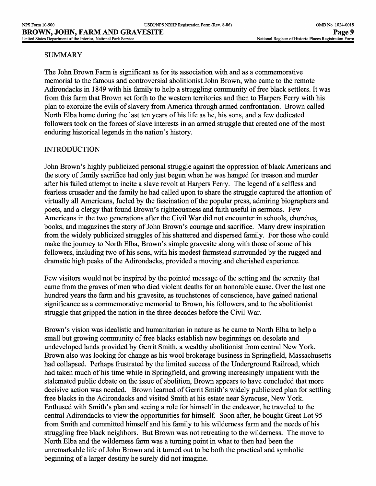### SUMMARY

The John Brown Farm is significant as for its association with and as a commemorative memorial to the famous and controversial abolitionist John Brown, who came to the remote Adirondacks in 1849 with his family to help a struggling community of free black settlers. It was from this farm that Brown set forth to the western territories and then to Harpers Ferry with his plan to exorcize the evils of slavery from America through armed confrontation. Brown called North Elba home during the last ten years of his life as he, his sons, and a few dedicated followers took on the forces of slave interests in an armed struggle that created one of the most enduring historical legends in the nation's history.

### INTRODUCTION

John Brown's highly publicized personal struggle against the oppression of black Americans and the story of family sacrifice had only just begun when he was hanged for treason and murder after his failed attempt to incite a slave revolt at Harpers Ferry. The legend of a selfless and fearless crusader and the family he had called upon to share the struggle captured the attention of virtually all Americans, fueled by the fascination of the popular press, admiring biographers and poets, and a clergy that found Brown's righteousness and faith useful in sermons. Few Americans in the two generations after the Civil War did not encounter in schools, churches, books, and magazines the story of John Brown's courage and sacrifice. Many drew inspiration from the widely publicized struggles of his shattered and dispersed family. For those who could make the journey to North Elba, Brown's simple gravesite along with those of some of his followers, including two of his sons, with his modest farmstead surrounded by the rugged and dramatic high peaks of the Adirondacks, provided a moving and cherished experience.

Few visitors would not be inspired by the pointed message of the setting and the serenity that came from the graves of men who died violent deaths for an honorable cause. Over the last one hundred years the farm and his gravesite, as touchstones of conscience, have gained national significance as a commemorative memorial to Brown, his followers, and to the abolitionist struggle that gripped the nation in the three decades before the Civil War.

Brown's vision was idealistic and humanitarian in nature as he came to North Elba to help a small but growing community of free blacks establish new beginnings on desolate and undeveloped lands provided by Gerrit Smith, a wealthy abolitionist from central New York. Brown also was looking for change as his wool brokerage business in Springfield, Massachusetts had collapsed. Perhaps frustrated by the limited success of the Underground Railroad, which had taken much of his time while in Springfield, and growing increasingly impatient with the stalemated public debate on the issue of abolition, Brown appears to have concluded that more decisive action was needed. Brown learned of Gerrit Smith's widely publicized plan for settling free blacks in the Adirondacks and visited Smith at his estate near Syracuse, New York. Enthused with Smith's plan and seeing a role for himself in the endeavor, he traveled to the central Adirondacks to view the opportunities for himself. Soon after, he bought Great Lot 95 from Smith and committed himself and his family to his wilderness farm and the needs of his struggling free black neighbors. But Brown was not retreating to the wilderness. The move to North Elba and the wilderness farm was a turning point in what to then had been the unremarkable life of John Brown and it turned out to be both the practical and symbolic beginning of a larger destiny he surely did not imagine.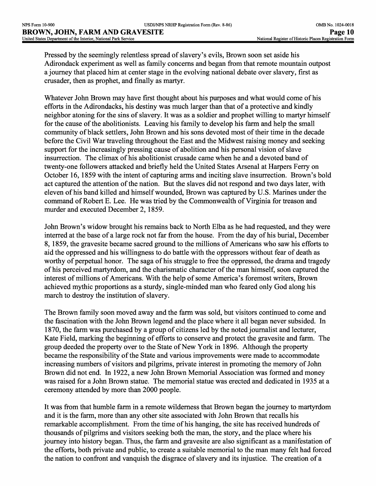Pressed by the seemingly relentless spread of slavery's evils, Brown soon set aside his Adirondack experiment as well as family concerns and began from that remote mountain outpost a journey that placed him at center stage in the evolving national debate over slavery, first as crusader, then as prophet, and finally as martyr.

Whatever John Brown may have first thought about his purposes and what would come of his efforts in the Adirondacks, his destiny was much larger than that of a protective and kindly neighbor atoning for the sins of slavery. It was as a soldier and prophet willing to martyr himself for the cause of the abolitionists. Leaving his family to develop his farm and help the small community of black settlers, John Brown and his sons devoted most of their time in the decade before the Civil War traveling throughout the East and the Midwest raising money and seeking support for the increasingly pressing cause of abolition and his personal vision of slave insurrection. The climax of his abolitionist crusade came when he and a devoted band of twenty-one followers attacked and briefly held the United States Arsenal at Harpers Ferry on October 16, 1859 with the intent of capturing arms and inciting slave insurrection. Brown's bold act captured the attention of the nation. But the slaves did not respond and two days later, with eleven of his band killed and himself wounded, Brown was captured by U.S. Marines under the command of Robert E. Lee. He was tried by the Commonwealth of Virginia for treason and murder and executed December 2, 1859.

John Brown's widow brought his remains back to North Elba as he had requested, and they were interred at the base of a large rock not far from the house. From the day of his burial, December 8, 1859, the gravesite became sacred ground to the millions of Americans who saw his efforts to aid the oppressed and his willingness to do battle with the oppressors without fear of death as worthy of perpetual honor. The saga of his struggle to free the oppressed, the drama and tragedy of his perceived martyrdom, and the charismatic character of the man himself, soon captured the interest of millions of Americans. With the help of some America's foremost writers, Brown achieved mythic proportions as a sturdy, single-minded man who feared only God along his march to destroy the institution of slavery.

The Brown family soon moved away and the farm was sold, but visitors continued to come and the fascination with the John Brown legend and the place where it all began never subsided. In 1870, the farm was purchased by a group of citizens led by the noted journalist and lecturer, Kate Field, marking the beginning of efforts to conserve and protect the gravesite and farm. The group deeded the property over to the State of New York in 1896. Although the property became the responsibility of the State and various improvements were made to accommodate increasing numbers of visitors and pilgrims, private interest in promoting the memory of John Brown did not end. In 1922, a new John Brown Memorial Association was formed and money was raised for a John Brown statue. The memorial statue was erected and dedicated in 1935 at a ceremony attended by more than 2000 people.

It was from that humble farm in a remote wilderness that Brown began the journey to martyrdom and it is the farm, more than any other site associated with John Brown that recalls his remarkable accomplishment. From the time of his hanging, the site has received hundreds of thousands of pilgrims and visitors seeking both the man, the story, and the place where his journey into history began. Thus, the farm and gravesite are also significant as a manifestation of the efforts, both private and public, to create a suitable memorial to the man many felt had forced the nation to confront and vanquish the disgrace of slavery and its injustice. The creation of a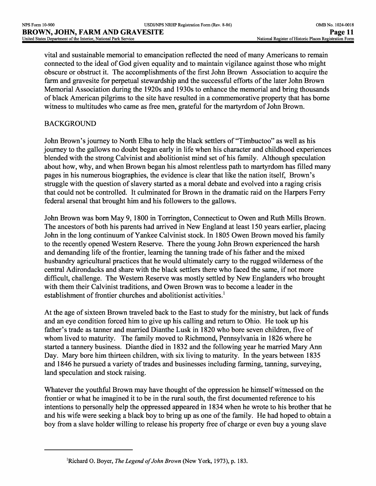vital and sustainable memorial to emancipation reflected the need of many Americans to remain connected to the ideal of God given equality and to maintain vigilance against those who might obscure or obstruct it. The accomplishments of the first John Brown Association to acquire the farm and gravesite for perpetual stewardship and the successful efforts of the later John Brown Memorial Association during the 1920s and 1930s to enhance the memorial and bring thousands of black American pilgrims to the site have resulted in a commemorative property that has borne witness to multitudes who came as free men, grateful for the martyrdom of John Brown.

## BACKGROUND

John Brown's journey to North Elba to help the black settlers of "Timbuctoo" as well as his journey to the gallows no doubt began early in life when his character and childhood experiences blended with the strong Calvinist and abolitionist mind set of his family. Although speculation about how, why, and when Brown began his almost relentless path to martyrdom has filled many pages in his numerous biographies, the evidence is clear that like the nation itself, Brown's struggle with the question of slavery started as a moral debate and evolved into a raging crisis that could not be controlled. It culminated for Brown in the dramatic raid on the Harpers Ferry federal arsenal that brought him and his followers to the gallows.

John Brown was born May 9, 1800 in Torrington, Connecticut to Owen and Ruth Mills Brown. The ancestors of both his parents had arrived in New England at least 150 years earlier, placing John in the long continuum of Yankee Calvinist stock. In 1805 Owen Brown moved his family to the recently opened Western Reserve. There the young John Brown experienced the harsh and demanding life of the frontier, learning the tanning trade of his father and the mixed husbandry agricultural practices that he would ultimately carry to the rugged wilderness of the central Adirondacks and share with the black settlers there who faced the same, if not more difficult, challenge. The Western Reserve was mostly settled by New Englanders who brought with them their Calvinist traditions, and Owen Brown was to become a leader in the establishment of frontier churches and abolitionist activities.<sup>1</sup>

At the age of sixteen Brown traveled back to the East to study for the ministry, but lack of funds and an eye condition forced him to give up his calling and return to Ohio. He took up his father's trade as tanner and married Dianthe Lusk in 1820 who bore seven children, five of whom lived to maturity. The family moved to Richmond, Pennsylvania in 1826 where he started a tannery business. Dianthe died in 1832 and the following year he married Mary Ann Day. Mary bore him thirteen children, with six living to maturity. In the years between 1835 and 1846 he pursued a variety of trades and businesses including farming, tanning, surveying, land speculation and stock raising.

Whatever the youthful Brown may have thought of the oppression he himself witnessed on the frontier or what he imagined it to be in the rural south, the first documented reference to his intentions to personally help the oppressed appeared in 1834 when he wrote to his brother that he and his wife were seeking a black boy to bring up as one of the family. He had hoped to obtain a boy from a slave holder willing to release his property free of charge or even buy a young slave

<sup>&#</sup>x27;Richard O. Boyer, *The Legend of John Brown* (New York, 1973), p. 183.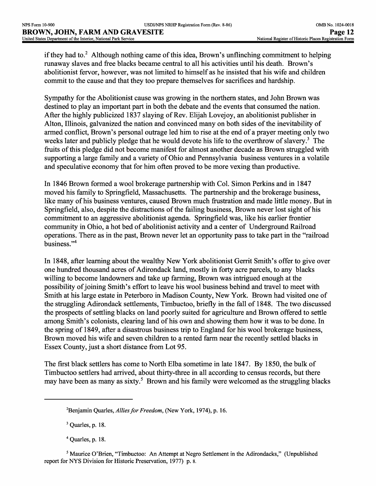if they had to.<sup>2</sup> Although nothing came of this idea, Brown's unflinching commitment to helping runaway slaves and free blacks became central to all his activities until his death. Brown's abolitionist fervor, however, was not limited to himself as he insisted that his wife and children commit to the cause and that they too prepare themselves for sacrifices and hardship.

Sympathy for the Abolitionist cause was growing in the northern states, and John Brown was destined to play an important part in both the debate and the events that consumed the nation. After the highly publicized 1837 slaying of Rev. Elijah Lovejoy, an abolitionist publisher in Alton, Illinois, galvanized the nation and convinced many on both sides of the inevitability of armed conflict, Brown's personal outrage led him to rise at the end of a prayer meeting only two weeks later and publicly pledge that he would devote his life to the overthrow of slavery.<sup>3</sup> The fruits of this pledge did not become manifest for almost another decade as Brown struggled with supporting a large family and a variety of Ohio and Pennsylvania business ventures in a volatile and speculative economy that for him often proved to be more vexing than productive.

In 1846 Brown formed a wool brokerage partnership with Col. Simon Perkins and in 1847 moved his family to Springfield, Massachusetts. The partnership and the brokerage business, like many of his business ventures, caused Brown much frustration and made little money. But in Springfield, also, despite the distractions of the failing business, Brown never lost sight of his commitment to an aggressive abolitionist agenda. Springfield was, like his earlier frontier community in Ohio, a hot bed of abolitionist activity and a center of Underground Railroad operations. There as in the past, Brown never let an opportunity pass to take part in the "railroad business."4

In 1848, after learning about the wealthy New York abolitionist Gerrit Smith's offer to give over one hundred thousand acres of Adirondack land, mostly in forty acre parcels, to any blacks willing to become landowners and take up farming, Brown was intrigued enough at the possibility of joining Smith's effort to leave his wool business behind and travel to meet with Smith at his large estate in Peterboro in Madison County, New York. Brown had visited one of the struggling Adirondack settlements, Timbuctoo, briefly in the fall of 1848. The two discussed the prospects of settling blacks on land poorly suited for agriculture and Brown offered to settle among Smith's colonists, clearing land of his own and showing them how it was to be done. In the spring of 1849, after a disastrous business trip to England for his wool brokerage business, Brown moved his wife and seven children to a rented farm near the recently settled blacks in Essex County, just a short distance from Lot 95.

The first black settlers has come to North Elba sometime in late 1847. By 1850, the bulk of Timbuctoo settlers had arrived, about thirty-three in all according to census records, but there may have been as many as sixty.<sup>5</sup> Brown and his family were welcomed as the struggling blacks

 $3$  Quarles, p. 18.

<sup>2</sup>Benjamin Quarles, *Allies for Freedom,* (New York, 1974), p. 16.

<sup>4</sup> Quarles, p. 18.

<sup>5</sup> Maurice O'Brien, "Timbuctoo: An Attempt at Negro Settlement in the Adirondacks," (Unpublished report for NYS Division for Historic Preservation, 1977) p. 8.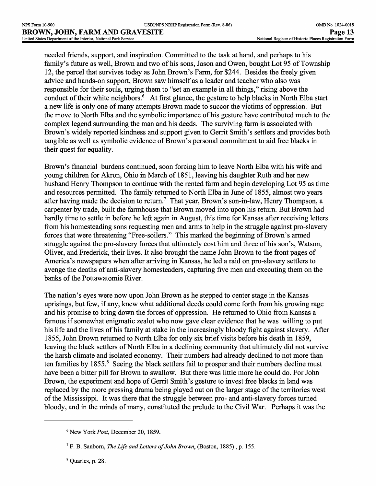needed friends, support, and inspiration. Committed to the task at hand, and perhaps to his family's future as well, Brown and two of his sons, Jason and Owen, bought Lot 95 of Township 12, the parcel that survives today as John Brown's Farm, for \$244. Besides the freely given advice and hands-on support, Brown saw himself as a leader and teacher who also was responsible for their souls, urging them to "set an example in all things," rising above the conduct of their white neighbors.<sup>6</sup> At first glance, the gesture to help blacks in North Elba start a new life is only one of many attempts Brown made to succor the victims of oppression. But the move to North Elba and the symbolic importance of his gesture have contributed much to the complex legend surrounding the man and his deeds. The surviving farm is associated with Brown's widely reported kindness and support given to Gerrit Smith's settlers and provides both tangible as well as symbolic evidence of Brown's personal commitment to aid free blacks in their quest for equality.

Brown's financial burdens continued, soon forcing him to leave North Elba with his wife and young children for Akron, Ohio in March of 1851, leaving his daughter Ruth and her new husband Henry Thompson to continue with the rented farm and begin developing Lot 95 as time and resources permitted. The family returned to North Elba in June of 1855, almost two years after having made the decision to return.<sup>7</sup> That year, Brown's son-in-law, Henry Thompson, a carpenter by trade, built the farmhouse that Brown moved into upon his return. But Brown had hardly time to settle in before he left again in August, this time for Kansas after receiving letters from his homesteading sons requesting men and arms to help in the struggle against pro-slavery forces that were threatening "Free-soilers." This marked the beginning of Brown's armed struggle against the pro-slavery forces that ultimately cost him and three of his son's, Watson, Oliver, and Frederick, their lives. It also brought the name John Brown to the front pages of America's newspapers when after arriving in Kansas, he led a raid on pro-slavery settlers to avenge the deaths of anti-slavery homesteaders, capturing five men and executing them on the banks of the Pottawatomie River.

The nation's eyes were now upon John Brown as he stepped to center stage in the Kansas uprisings, but few, if any, knew what additional deeds could come forth from his growing rage and his promise to bring down the forces of oppression. He returned to Ohio from Kansas a famous if somewhat enigmatic zealot who now gave clear evidence that he was willing to put his life and the lives of his family at stake in the increasingly bloody fight against slavery. After 1855, John Brown returned to North Elba for only six brief visits before his death in 1859, leaving the black settlers of North Elba in a declining community that ultimately did not survive the harsh climate and isolated economy. Their numbers had already declined to not more than ten families by 1855.<sup>8</sup> Seeing the black settlers fail to prosper and their numbers decline must have been a bitter pill for Brown to swallow. But there was little more he could do. For John Brown, the experiment and hope of Gerrit Smith's gesture to invest free blacks in land was replaced by the more pressing drama being played out on the larger stage of the territories west of the Mississippi. It was there that the struggle between pro- and anti-slavery forces turned bloody, and in the minds of many, constituted the prelude to the Civil War. Perhaps it was the

<sup>6</sup> New York *Post,* December 20, 1859.

<sup>7</sup> F. B. Sanborn, *The Life and Letters of John Brown,* (Boston, 1885) , p. 155.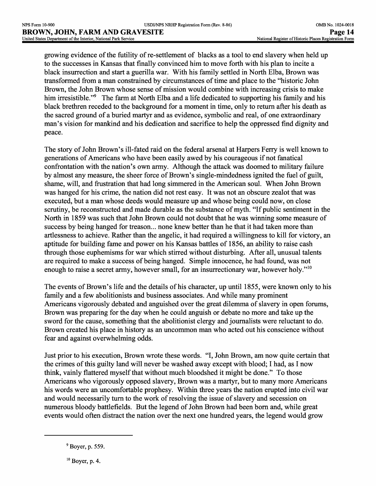growing evidence of the futility of re-settlement of blacks as a tool to end slavery when held up to the successes in Kansas that finally convinced him to move forth with his plan to incite a black insurrection and start a guerilla war. With his family settled in North Elba, Brown was transformed from a man constrained by circumstances of time and place to the "historic John Brown, the John Brown whose sense of mission would combine with increasing crisis to make him irresistible."<sup>9</sup> The farm at North Elba and a life dedicated to supporting his family and his black brethren receded to the background for a moment in time, only to return after his death as the sacred ground of a buried martyr and as evidence, symbolic and real, of one extraordinary man's vision for mankind and his dedication and sacrifice to help the oppressed find dignity and peace.

The story of John Brown's ill-fated raid on the federal arsenal at Harpers Ferry is well known to generations of Americans who have been easily awed by his courageous if not fanatical confrontation with the nation's own army. Although the attack was doomed to military failure by almost any measure, the sheer force of Brown's single-mindedness ignited the fuel of guilt, shame, will, and frustration that had long simmered in the American soul. When John Brown was hanged for his crime, the nation did not rest easy. It was not an obscure zealot that was executed, but a man whose deeds would measure up and whose being could now, on close scrutiny, be reconstructed and made durable as the substance of myth. "If public sentiment in the North in 1859 was such that John Brown could not doubt that he was winning some measure of success by being hanged for treason... none knew better than he that it had taken more than artlessness to achieve. Rather than the angelic, it had required a willingness to kill for victory, an aptitude for building fame and power on his Kansas battles of 1856, an ability to raise cash through those euphemisms for war which stirred without disturbing. After all, unusual talents are required to make a success of being hanged. Simple innocence, he had found, was not enough to raise a secret army, however small, for an insurrectionary war, however holy."<sup>10</sup>

The events of Brown's life and the details of his character, up until 1855, were known only to his family and a few abolitionists and business associates. And while many prominent Americans vigorously debated and anguished over the great dilemma of slavery in open forums, Brown was preparing for the day when he could anguish or debate no more and take up the sword for the cause, something that the abolitionist clergy and journalists were reluctant to do. Brown created his place in history as an uncommon man who acted out his conscience without fear and against overwhelming odds.

Just prior to his execution, Brown wrote these words. "I, John Brown, am now quite certain that the crimes of this guilty land will never be washed away except with blood; I had, as I now think, vainly flattered myself that without much bloodshed it might be done." To those Americans who vigorously opposed slavery, Brown was a martyr, but to many more Americans his words were an uncomfortable prophesy. Within three years the nation erupted into civil war and would necessarily turn to the work of resolving the issue of slavery and secession on numerous bloody battlefields. But the legend of John Brown had been born and, while great events would often distract the nation over the next one hundred years, the legend would grow

 $<sup>9</sup>$  Boyer, p. 559.</sup>

 $10$  Boyer, p. 4.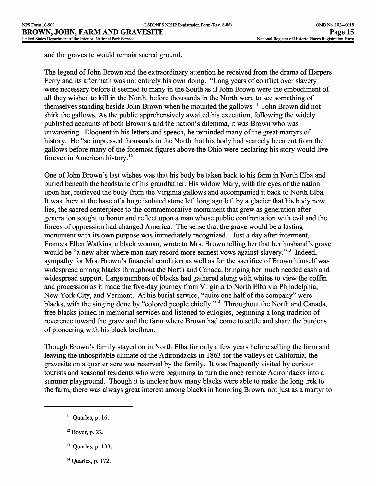and the gravesite would remain sacred ground.

The legend of John Brown and the extraordinary attention he received from the drama of Harpers Ferry and its aftermath was not entirely his own doing. "Long years of conflict over slavery were necessary before it seemed to many in the South as if John Brown were the embodiment of all they wished to kill in the North; before thousands in the North were to see something of themselves standing beside John Brown when he mounted the gallows.<sup>11</sup> John Brown did not shirk the gallows. As the public apprehensively awaited his execution, following the widely published accounts of both Brown's and the nation's dilemma, it was Brown who was unwavering. Eloquent in his letters and speech, he reminded many of the great martyrs of history. He "so impressed thousands in the North that his body had scarcely been cut from the gallows before many of the foremost figures above the Ohio were declaring his story would live forever in American history. <sup>12</sup>

One of John Brown's last wishes was that his body be taken back to his farm in North Elba and buried beneath the headstone of his grandfather. His widow Mary, with the eyes of the nation upon her, retrieved the body from the Virginia gallows and accompanied it back to North Elba. It was there at the base of a huge isolated stone left long ago left by a glacier that his body now lies, the sacred centerpiece to the commemorative monument that grew as generation after generation sought to honor and reflect upon a man whose public confrontation with evil and the forces of oppression had changed America. The sense that the grave would be a lasting monument with its own purpose was immediately recognized. Just a day after interment, Frances Ellen Watkins, a black woman, wrote to Mrs. Brown telling her that her husband's grave would be "a new alter where man may record more earnest vows against slavery."<sup>13</sup> Indeed, sympathy for Mrs. Brown's financial condition as well as for the sacrifice of Brown himself was widespread among blacks throughout the North and Canada, bringing her much needed cash and widespread support. Large numbers of blacks had gathered along with whites to view the coffin and procession as it made the five-day journey from Virginia to North Elba via Philadelphia, New York City, and Vermont. At his burial service, "quite one half of the company" were blacks, with the singing done by "colored people chiefly."14 Throughout the North and Canada, free blacks joined in memorial services and listened to eulogies, beginning a long tradition of reverence toward the grave and the farm where Brown had come to settle and share the burdens of pioneering with his black brethren.

Though Brown's family stayed on in North Elba for only a few years before selling the farm and leaving the inhospitable climate of the Adirondacks in 1863 for the valleys of California, the gravesite on a quarter acre was reserved by the family. It was frequently visited by curious tourists and seasonal residents who were beginning to turn the once remote Adirondacks into a summer playground. Though it is unclear how many blacks were able to make the long trek to the farm, there was always great interest among blacks in honoring Brown, not just as a martyr to

- <sup>12</sup>**Boyer, p. 22.**
- <sup>13</sup>**Quarles, p. 133.**
- 14 **Quarles, p. 172.**

<sup>11</sup>**Quarles, p. 16.**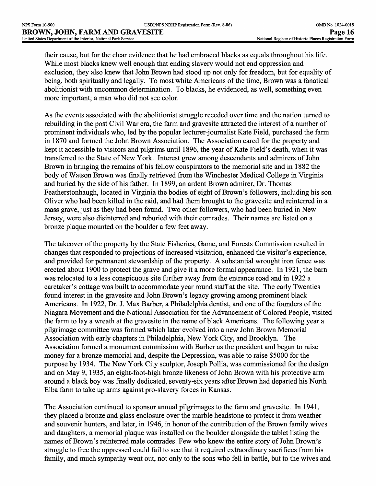their cause, but for the clear evidence that he had embraced blacks as equals throughout his life. While most blacks knew well enough that ending slavery would not end oppression and exclusion, they also knew that John Brown had stood up not only for freedom, but for equality of being, both spiritually and legally. To most white Americans of the time, Brown was a fanatical abolitionist with uncommon determination. To blacks, he evidenced, as well, something even more important; a man who did not see color.

As the events associated with the abolitionist struggle receded over time and the nation turned to rebuilding in the post Civil War era, the farm and gravesite attracted the interest of a number of prominent individuals who, led by the popular lecturer-journalist Kate Field, purchased the farm in 1870 and formed the John Brown Association. The Association cared for the property and kept it accessible to visitors and pilgrims until 1896, the year of Kate Field's death, when it was transferred to the State of New York. Interest grew among descendants and admirers of John Brown in bringing the remains of his fellow conspirators to the memorial site and in 1882 the body of Watson Brown was finally retrieved from the Winchester Medical College in Virginia and buried by the side of his father. In 1899, an ardent Brown admirer, Dr. Thomas Featherstonhaugh, located in Virginia the bodies of eight of Brown's followers, including his son Oliver who had been killed in the raid, and had them brought to the gravesite and reinterred in a mass grave, just as they had been found. Two other followers, who had been buried in New Jersey, were also disinterred and reburied with their comrades. Their names are listed on a bronze plaque mounted on the boulder a few feet away.

The takeover of the property by the State Fisheries, Game, and Forests Commission resulted in changes that responded to projections of increased visitation, enhanced the visitor's experience, and provided for permanent stewardship of the property. A substantial wrought iron fence was erected about 1900 to protect the grave and give it a more formal appearance. In 1921, the barn was relocated to a less conspicuous site further away from the entrance road and in 1922 a caretaker's cottage was built to accommodate year round staff at the site. The early Twenties found interest in the gravesite and John Brown's legacy growing among prominent black Americans. In 1922, Dr. J. Max Barber, a Philadelphia dentist, and one of the founders of the Niagara Movement and the National Association for the Advancement of Colored People, visited the farm to lay a wreath at the gravesite in the name of black Americans. The following year a pilgrimage committee was formed which later evolved into a new John Brown Memorial Association with early chapters in Philadelphia, New York City, and Brooklyn. The Association formed a monument commission with Barber as the president and began to raise money for a bronze memorial and, despite the Depression, was able to raise \$5000 for the purpose by 1934. The New York City sculptor, Joseph Pollia, was commissioned for the design and on May 9, 1935, an eight-foot-high bronze likeness of John Brown with his protective arm around a black boy was finally dedicated, seventy-six years after Brown had departed his North Elba farm to take up arms against pro-slavery forces in Kansas.

The Association continued to sponsor annual pilgrimages to the farm and gravesite. In 1941, they placed a bronze and glass enclosure over the marble headstone to protect it from weather and souvenir hunters, and later, in 1946, in honor of the contribution of the Brown family wives and daughters, a memorial plaque was installed on the boulder alongside the tablet listing the names of Brown's reinterred male comrades. Few who knew the entire story of John Brown's struggle to free the oppressed could fail to see that it required extraordinary sacrifices from his family, and much sympathy went out, not only to the sons who fell in battle, but to the wives and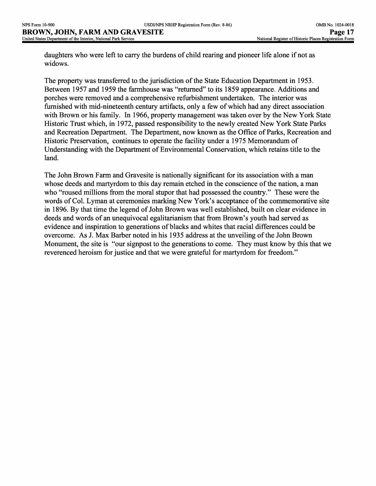daughters who were left to carry the burdens of child rearing and pioneer life alone if not as widows.

The property was transferred to the jurisdiction of the State Education Department in 1953. Between 1957 and 1959 the farmhouse was "returned" to its 1859 appearance. Additions and porches were removed and a comprehensive refurbishment undertaken. The interior was furnished with mid-nineteenth century artifacts, only a few of which had any direct association with Brown or his family. In 1966, property management was taken over by the New York State Historic Trust which, in 1972, passed responsibility to the newly created New York State Parks and Recreation Department. The Department, now known as the Office of Parks, Recreation and Historic Preservation, continues to operate the facility under a 1975 Memorandum of Understanding with the Department of Environmental Conservation, which retains title to the land.

The John Brown Farm and Gravesite is nationally significant for its association with a man whose deeds and martyrdom to this day remain etched in the conscience of the nation, a man who "roused millions from the moral stupor that had possessed the country." These were the words of Col. Lyman at ceremonies marking New York's acceptance of the commemorative site in 1896. By that time the legend of John Brown was well established, built on clear evidence in deeds and words of an unequivocal egalitarianism that from Brown's youth had served as evidence and inspiration to generations of blacks and whites that racial differences could be overcome. As J. Max Barber noted in his 1935 address at the unveiling of the John Brown Monument, the site is "our signpost to the generations to come. They must know by this that we reverenced heroism for justice and that we were grateful for martyrdom for freedom."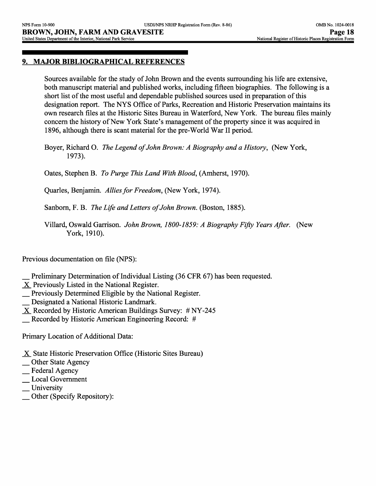## **9. MAJOR BIBLIOGRAPHICAL REFERENCES**

Sources available for the study of John Brown and the events surrounding his life are extensive, both manuscript material and published works, including fifteen biographies. The following is a short list of the most useful and dependable published sources used in preparation of this designation report. The NYS Office of Parks, Recreation and Historic Preservation maintains its own research files at the Historic Sites Bureau in Waterford, New York. The bureau files mainly concern the history of New York State's management of the property since it was acquired in 1896, although there is scant material for the pre-World War II period.

Boyer, Richard O. *The Legend of John Brown: A Biography and a History,* (New York, 1973).

Gates, Stephen B. *To Purge This Land With Blood,* (Amherst, 1970).

Quarles, Benjamin. *Allies for Freedom, (New York,* 1974).

Sanborn, F. B. *The Life and Letters of John Brown.* (Boston, 1885).

Villard, Oswald Garrison. *John Brown, 1800-1859: A Biography Fifty Years After.* (New York, 1910).

Previous documentation on file (NPS):

- Preliminary Determination of Individual Listing (36 CFR 67) has been requested.
- X Previously Listed in the National Register.
- \_ Previously Determined Eligible by the National Register.
- \_ Designated a National Historic Landmark.
- $X$  Recorded by Historic American Buildings Survey: # NY-245
- \_ Recorded by Historic American Engineering Record: *#*

Primary Location of Additional Data:

- X State Historic Preservation Office (Historic Sites Bureau)
- **Other State Agency**
- \_ Federal Agency
- \_ Local Government
- **University**
- \_ Other (Specify Repository):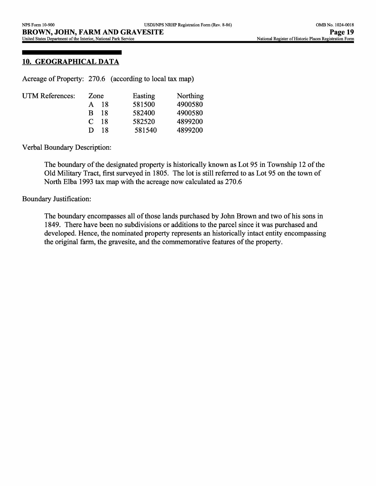### **10. GEOGRAPHICAL DATA**

Acreage of Property: 270.6 (according to local tax map)

| <b>UTM References:</b> | Zone                | Easting | Northing |
|------------------------|---------------------|---------|----------|
|                        | 18<br>A.            | 581500  | 4900580  |
|                        | 18<br>R.            | 582400  | 4900580  |
|                        | -18<br>$\mathbb{C}$ | 582520  | 4899200  |
|                        | 18<br>Ð             | 581540  | 4899200  |
|                        |                     |         |          |

Verbal Boundary Description:

The boundary of the designated property is historically known as Lot 95 in Township 12 of the Old Military Tract, first surveyed in 1805. The lot is still referred to as Lot 95 on the town of North Elba 1993 tax map with the acreage now calculated as 270.6

#### Boundary Justification:

The boundary encompasses all of those lands purchased by John Brown and two of his sons in 1849. There have been no subdivisions or additions to the parcel since it was purchased and developed. Hence, the nominated property represents an historically intact entity encompassing the original farm, the gravesite, and the commemorative features of the property.